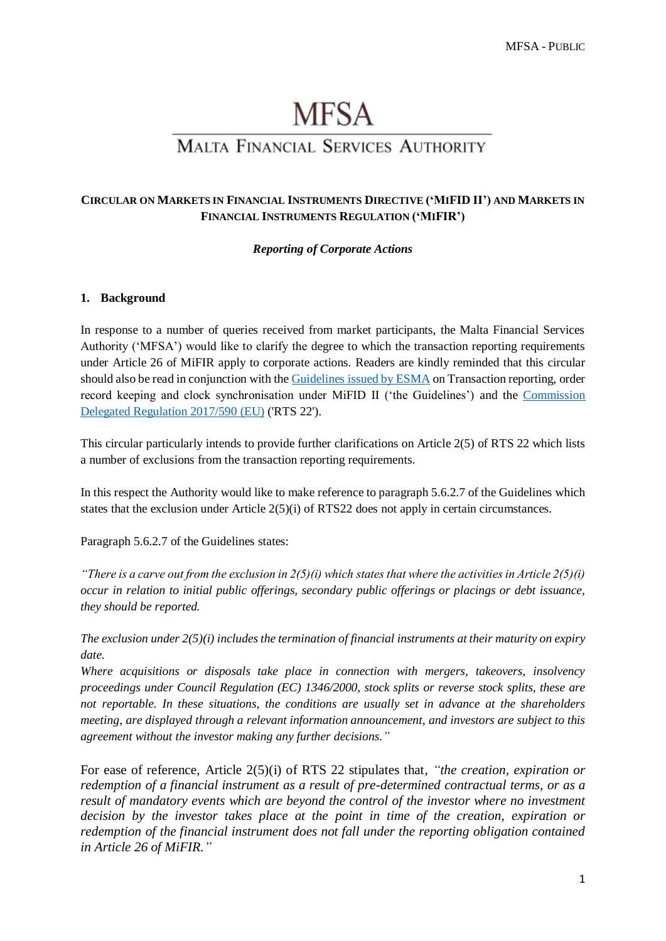# **MFSA**

# **MALTA FINANCIAL SERVICES AUTHORITY**

## **CIRCULAR ON MARKETS IN FINANCIAL INSTRUMENTS DIRECTIVE ('MIFID II') AND MARKETS IN FINANCIAL INSTRUMENTS REGULATION ('MIFIR')**

### *Reporting of Corporate Actions*

#### **1. Background**

In response to a number of queries received from market participants, the Malta Financial Services Authority ('MFSA') would like to clarify the degree to which the transaction reporting requirements under Article 26 of MiFIR apply to corporate actions. Readers are kindly reminded that this circular should also be read in conjunction with the [Guidelines issued by ESMA](https://www.esma.europa.eu/sites/default/files/library/2016-1452_guidelines_mifid_ii_transaction_reporting.pdf) on Transaction reporting, order record keeping and clock synchronisation under MiFID II ('the Guidelines') and the [Commission](http://eur-lex.europa.eu/legal-content/EN/TXT/?uri=uriserv:OJ.L_.2017.087.01.0449.01.ENG&toc=OJ:L:2017:087:TOC)  [Delegated Regulation 2017/590 \(EU\)](http://eur-lex.europa.eu/legal-content/EN/TXT/?uri=uriserv:OJ.L_.2017.087.01.0449.01.ENG&toc=OJ:L:2017:087:TOC) ('RTS 22').

This circular particularly intends to provide further clarifications on Article 2(5) of RTS 22 which lists a number of exclusions from the transaction reporting requirements.

In this respect the Authority would like to make reference to paragraph 5.6.2.7 of the Guidelines which states that the exclusion under Article  $2(5)(i)$  of RTS22 does not apply in certain circumstances.

Paragraph 5.6.2.7 of the Guidelines states:

*"There is a carve out from the exclusion in*  $2(5)(i)$  *which states that where the activities in Article*  $2(5)(i)$ *occur in relation to initial public offerings, secondary public offerings or placings or debt issuance, they should be reported.* 

*The exclusion under 2(5)(i) includes the termination of financial instruments at their maturity on expiry date.* 

*Where acquisitions or disposals take place in connection with mergers, takeovers, insolvency proceedings under Council Regulation (EC) 1346/2000, stock splits or reverse stock splits, these are not reportable. In these situations, the conditions are usually set in advance at the shareholders meeting, are displayed through a relevant information announcement, and investors are subject to this agreement without the investor making any further decisions."*

For ease of reference, Article 2(5)(i) of RTS 22 stipulates that, *"the creation, expiration or redemption of a financial instrument as a result of pre-determined contractual terms, or as a result of mandatory events which are beyond the control of the investor where no investment decision by the investor takes place at the point in time of the creation, expiration or redemption of the financial instrument does not fall under the reporting obligation contained in Article 26 of MiFIR."*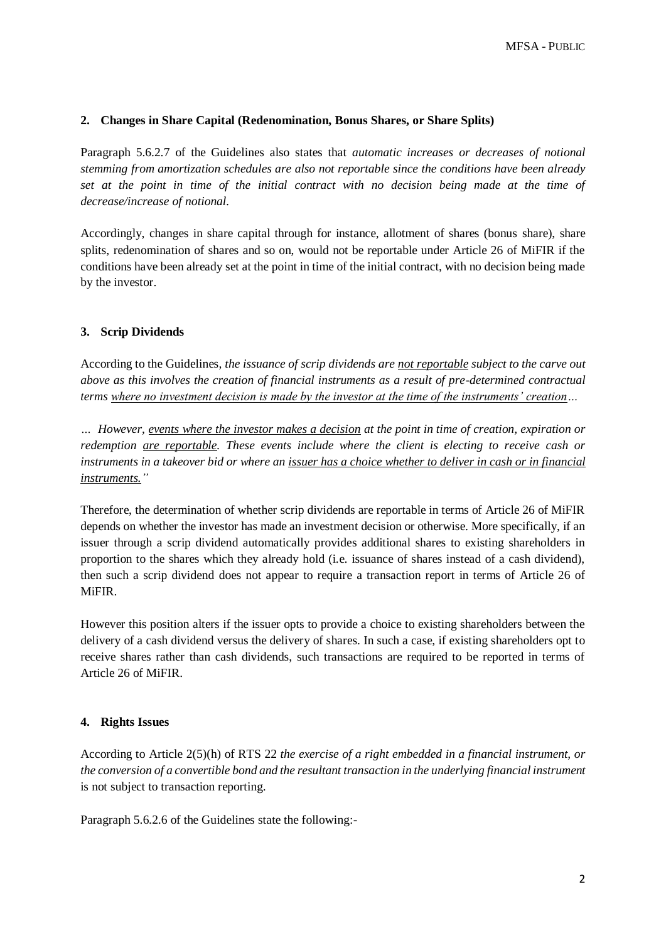#### **2. Changes in Share Capital (Redenomination, Bonus Shares, or Share Splits)**

Paragraph 5.6.2.7 of the Guidelines also states that *automatic increases or decreases of notional stemming from amortization schedules are also not reportable since the conditions have been already set at the point in time of the initial contract with no decision being made at the time of decrease/increase of notional.* 

Accordingly, changes in share capital through for instance, allotment of shares (bonus share), share splits, redenomination of shares and so on, would not be reportable under Article 26 of MiFIR if the conditions have been already set at the point in time of the initial contract, with no decision being made by the investor.

# **3. Scrip Dividends**

According to the Guidelines*, the issuance of scrip dividends are not reportable subject to the carve out above as this involves the creation of financial instruments as a result of pre-determined contractual terms where no investment decision is made by the investor at the time of the instruments' creation…*

*… However, events where the investor makes a decision at the point in time of creation, expiration or redemption are reportable. These events include where the client is electing to receive cash or instruments in a takeover bid or where an issuer has a choice whether to deliver in cash or in financial instruments."*

Therefore, the determination of whether scrip dividends are reportable in terms of Article 26 of MiFIR depends on whether the investor has made an investment decision or otherwise. More specifically, if an issuer through a scrip dividend automatically provides additional shares to existing shareholders in proportion to the shares which they already hold (i.e. issuance of shares instead of a cash dividend), then such a scrip dividend does not appear to require a transaction report in terms of Article 26 of MiFIR.

However this position alters if the issuer opts to provide a choice to existing shareholders between the delivery of a cash dividend versus the delivery of shares. In such a case, if existing shareholders opt to receive shares rather than cash dividends, such transactions are required to be reported in terms of Article 26 of MiFIR.

#### **4. Rights Issues**

According to Article 2(5)(h) of RTS 22 *the exercise of a right embedded in a financial instrument, or the conversion of a convertible bond and the resultant transaction in the underlying financial instrument*  is not subject to transaction reporting.

Paragraph 5.6.2.6 of the Guidelines state the following:-